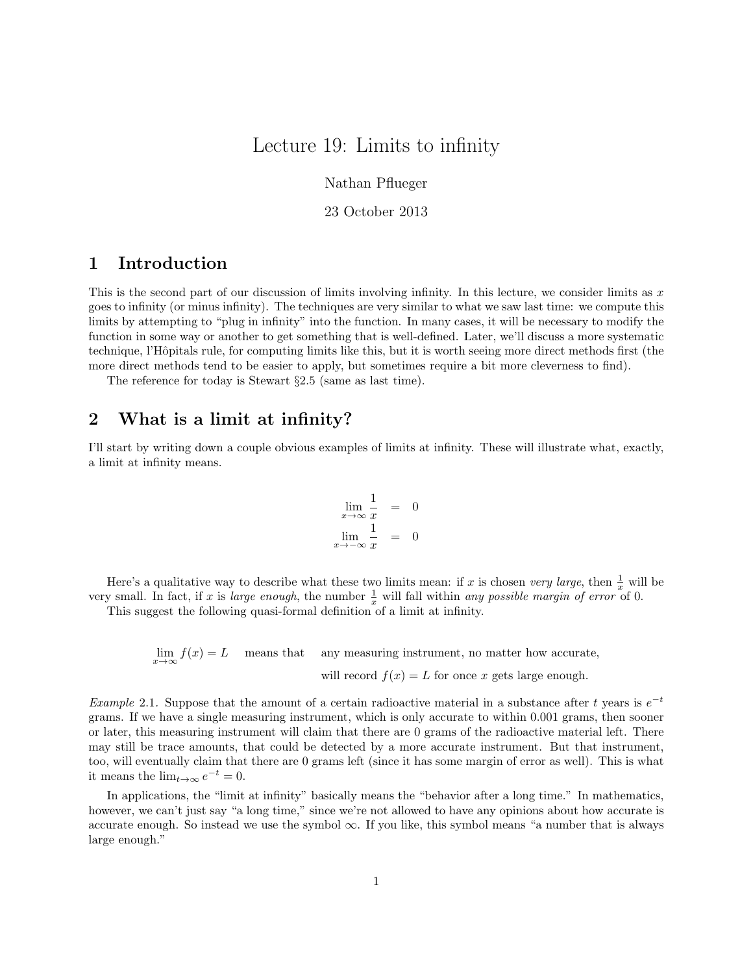# Lecture 19: Limits to infinity

Nathan Pflueger

23 October 2013

## 1 Introduction

This is the second part of our discussion of limits involving infinity. In this lecture, we consider limits as  $x$ goes to infinity (or minus infinity). The techniques are very similar to what we saw last time: we compute this limits by attempting to "plug in infinity" into the function. In many cases, it will be necessary to modify the function in some way or another to get something that is well-defined. Later, we'll discuss a more systematic technique, l'Hôpitals rule, for computing limits like this, but it is worth seeing more direct methods first (the more direct methods tend to be easier to apply, but sometimes require a bit more cleverness to find).

The reference for today is Stewart §2.5 (same as last time).

#### 2 What is a limit at infinity?

I'll start by writing down a couple obvious examples of limits at infinity. These will illustrate what, exactly, a limit at infinity means.

$$
\lim_{x \to \infty} \frac{1}{x} = 0
$$
  

$$
\lim_{x \to -\infty} \frac{1}{x} = 0
$$

Here's a qualitative way to describe what these two limits mean: if x is chosen very large, then  $\frac{1}{x}$  will be very small. In fact, if x is large enough, the number  $\frac{1}{x}$  will fall within any possible margin of error of 0.

This suggest the following quasi-formal definition of a limit at infinity.

 $\lim_{x\to\infty} f(x) = L$  means that any measuring instrument, no matter how accurate, will record  $f(x) = L$  for once x gets large enough.

Example 2.1. Suppose that the amount of a certain radioactive material in a substance after t years is  $e^{-t}$ grams. If we have a single measuring instrument, which is only accurate to within 0.001 grams, then sooner or later, this measuring instrument will claim that there are 0 grams of the radioactive material left. There may still be trace amounts, that could be detected by a more accurate instrument. But that instrument, too, will eventually claim that there are 0 grams left (since it has some margin of error as well). This is what it means the  $\lim_{t\to\infty}e^{-t}=0$ .

In applications, the "limit at infinity" basically means the "behavior after a long time." In mathematics, however, we can't just say "a long time," since we're not allowed to have any opinions about how accurate is accurate enough. So instead we use the symbol  $\infty$ . If you like, this symbol means "a number that is always large enough."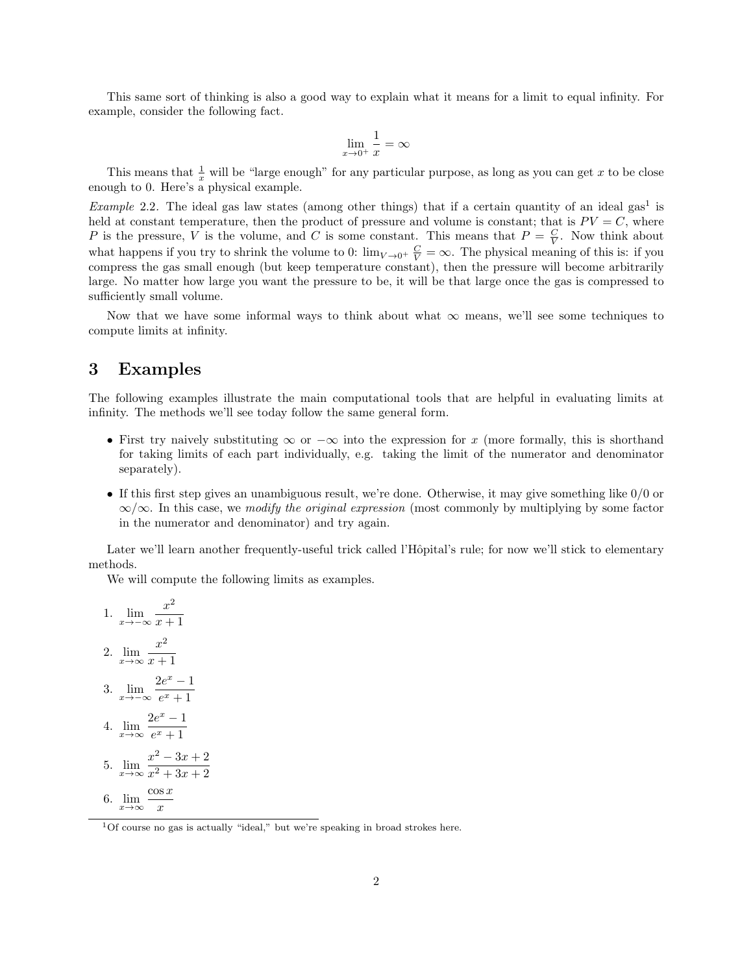This same sort of thinking is also a good way to explain what it means for a limit to equal infinity. For example, consider the following fact.

$$
\lim_{x \to 0^+} \frac{1}{x} = \infty
$$

This means that  $\frac{1}{x}$  will be "large enough" for any particular purpose, as long as you can get x to be close enough to 0. Here's a physical example.

*Example* 2.2. The ideal gas law states (among other things) that if a certain quantity of an ideal gas<sup>1</sup> is held at constant temperature, then the product of pressure and volume is constant; that is  $PV = C$ , where P is the pressure, V is the volume, and C is some constant. This means that  $P = \frac{C}{V}$ . Now think about what happens if you try to shrink the volume to 0:  $\lim_{V\to 0^+} \frac{C}{V} = \infty$ . The physical meaning of this is: if you compress the gas small enough (but keep temperature constant), then the pressure will become arbitrarily large. No matter how large you want the pressure to be, it will be that large once the gas is compressed to sufficiently small volume.

Now that we have some informal ways to think about what  $\infty$  means, we'll see some techniques to compute limits at infinity.

### 3 Examples

The following examples illustrate the main computational tools that are helpful in evaluating limits at infinity. The methods we'll see today follow the same general form.

- First try naively substituting  $\infty$  or  $-\infty$  into the expression for x (more formally, this is shorthand for taking limits of each part individually, e.g. taking the limit of the numerator and denominator separately).
- If this first step gives an unambiguous result, we're done. Otherwise, it may give something like  $0/0$  or  $\infty/\infty$ . In this case, we *modify the original expression* (most commonly by multiplying by some factor in the numerator and denominator) and try again.

Later we'll learn another frequently-useful trick called l'Hôpital's rule; for now we'll stick to elementary methods.

We will compute the following limits as examples.

1. 
$$
\lim_{x \to -\infty} \frac{x^2}{x+1}
$$
  
\n2. 
$$
\lim_{x \to \infty} \frac{x^2}{x+1}
$$
  
\n3. 
$$
\lim_{x \to -\infty} \frac{2e^x - 1}{e^x + 1}
$$
  
\n4. 
$$
\lim_{x \to \infty} \frac{2e^x - 1}{e^x + 1}
$$
  
\n5. 
$$
\lim_{x \to \infty} \frac{x^2 - 3x + 2}{x^2 + 3x + 2}
$$
  
\n6. 
$$
\lim_{x \to \infty} \frac{\cos x}{x}
$$

<sup>1</sup>Of course no gas is actually "ideal," but we're speaking in broad strokes here.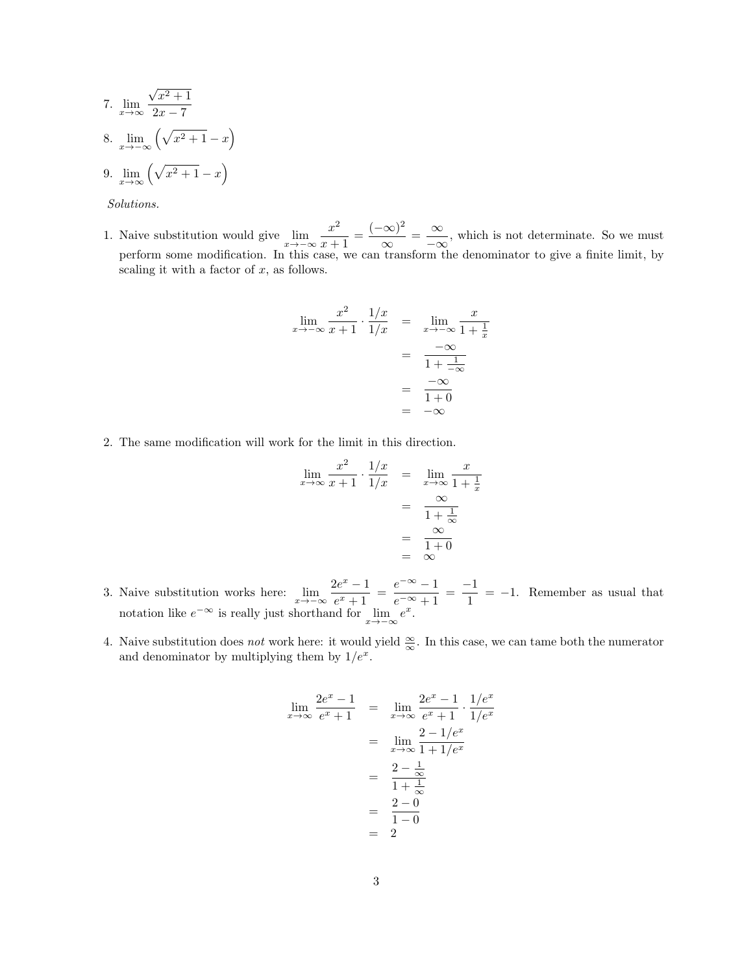7. 
$$
\lim_{x \to \infty} \frac{\sqrt{x^2 + 1}}{2x - 7}
$$
  
8. 
$$
\lim_{x \to -\infty} (\sqrt{x^2 + 1} - x)
$$
  
9. 
$$
\lim_{x \to \infty} (\sqrt{x^2 + 1} - x)
$$

Solutions.

1. Naive substitution would give  $\lim_{x \to -\infty} \frac{x^2}{x+1}$  $\frac{x^2}{x+1} = \frac{(-\infty)^2}{\infty}$  $\frac{(\infty)^2}{\infty} = \frac{\infty}{-\infty}$  $\frac{\infty}{-\infty}$ , which is not determinate. So we must perform some modification. In this case, we can transform the denominator to give a finite limit, by scaling it with a factor of  $x$ , as follows.

$$
\lim_{x \to -\infty} \frac{x^2}{x+1} \cdot \frac{1/x}{1/x} = \lim_{x \to -\infty} \frac{x}{1 + \frac{1}{x}}
$$

$$
= \frac{-\infty}{1 + \frac{1}{-\infty}}
$$

$$
= \frac{-\infty}{1 + 0}
$$

$$
= -\infty
$$

2. The same modification will work for the limit in this direction.

$$
\lim_{x \to \infty} \frac{x^2}{x+1} \cdot \frac{1/x}{1/x} = \lim_{x \to \infty} \frac{x}{1 + \frac{1}{x}}
$$

$$
= \frac{\infty}{1 + \frac{1}{\infty}}
$$

$$
= \frac{\infty}{1 + 0}
$$

$$
= \infty
$$

- 3. Naive substitution works here:  $\lim_{x \to -\infty} \frac{2e^x 1}{e^x + 1}$  $\frac{e^{2e^x}-1}{e^x+1} = \frac{e^{-\infty}-1}{e^{-\infty}+1}$  $\frac{e^{-\infty}-1}{e^{-\infty}+1} = \frac{-1}{1}$  $\frac{1}{1}$  = -1. Remember as usual that notation like  $e^{-\infty}$  is really just shorthand for  $\lim_{x \to -\infty} e^x$ .
- 4. Naive substitution does *not* work here: it would yield  $\frac{\infty}{\infty}$ . In this case, we can tame both the numerator and denominator by multiplying them by  $1/e^x$ .

$$
\lim_{x \to \infty} \frac{2e^x - 1}{e^x + 1} = \lim_{x \to \infty} \frac{2e^x - 1}{e^x + 1} \cdot \frac{1/e^x}{1/e^x}
$$

$$
= \lim_{x \to \infty} \frac{2 - 1/e^x}{1 + 1/e^x}
$$

$$
= \frac{2 - \frac{1}{\infty}}{1 + \frac{1}{\infty}}
$$

$$
= \frac{2 - 0}{1 - 0}
$$

$$
= 2
$$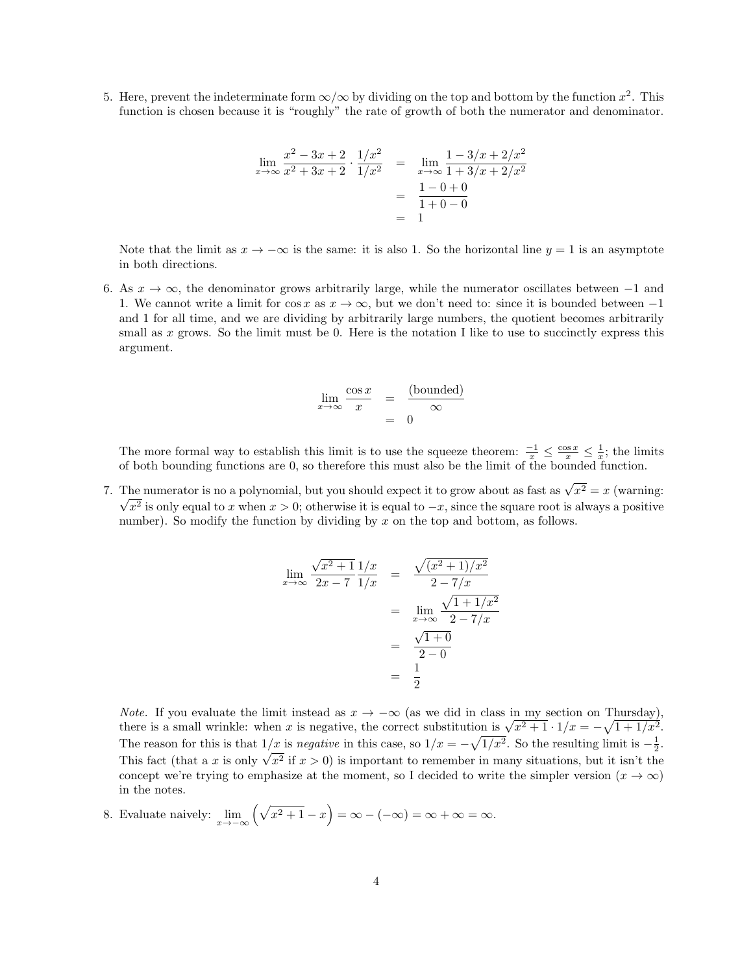5. Here, prevent the indeterminate form  $\infty/\infty$  by dividing on the top and bottom by the function  $x^2$ . This function is chosen because it is "roughly" the rate of growth of both the numerator and denominator.

$$
\lim_{x \to \infty} \frac{x^2 - 3x + 2}{x^2 + 3x + 2} \cdot \frac{1/x^2}{1/x^2} = \lim_{x \to \infty} \frac{1 - 3/x + 2/x^2}{1 + 3/x + 2/x^2}
$$

$$
= \frac{1 - 0 + 0}{1 + 0 - 0}
$$

$$
= 1
$$

Note that the limit as  $x \to -\infty$  is the same: it is also 1. So the horizontal line  $y = 1$  is an asymptote in both directions.

6. As  $x \to \infty$ , the denominator grows arbitrarily large, while the numerator oscillates between -1 and 1. We cannot write a limit for  $\cos x$  as  $x \to \infty$ , but we don't need to: since it is bounded between -1 and 1 for all time, and we are dividing by arbitrarily large numbers, the quotient becomes arbitrarily small as x grows. So the limit must be 0. Here is the notation I like to use to succinctly express this argument.

$$
\lim_{x \to \infty} \frac{\cos x}{x} = \frac{\text{(bounded)}}{\infty}
$$
\n
$$
= 0
$$

The more formal way to establish this limit is to use the squeeze theorem:  $\frac{-1}{x} \leq \frac{\cos x}{x} \leq \frac{1}{x}$ ; the limits of both bounding functions are 0, so therefore this must also be the limit of the bounded function.

7. The numerator is no a polynomial, but you should expect it to grow about as fast as  $\sqrt{x^2} = x$  (warning:  $x^2$  is only equal to x when  $x > 0$ ; otherwise it is equal to  $-x$ , since the square root is always a positive number). So modify the function by dividing by  $x$  on the top and bottom, as follows.

$$
\lim_{x \to \infty} \frac{\sqrt{x^2 + 1}}{2x - 7} \frac{1/x}{1/x} = \frac{\sqrt{(x^2 + 1)/x^2}}{2 - 7/x}
$$

$$
= \lim_{x \to \infty} \frac{\sqrt{1 + 1/x^2}}{2 - 7/x}
$$

$$
= \frac{\sqrt{1 + 0}}{2 - 0}
$$

$$
= \frac{1}{2}
$$

*Note.* If you evaluate the limit instead as  $x \to -\infty$  (as we did in class in my section on Thursday). *Note.* If you evaluate the limit instead as  $x \to -\infty$  (as we did in class in my section on Thursday), there is a small wrinkle: when x is negative, the correct substitution is  $\sqrt{x^2+1} \cdot 1/x = -\sqrt{1+1/x^2}$ . The reason for this is that  $1/x$  is *negative* in this case, so  $1/x = -\sqrt{1/x^2}$ . So the resulting limit is  $-\frac{1}{2}$ . The reason for this is that  $1/x$  is *hegative* in this case, so  $1/x = -\sqrt{1/x}$ . So the resulting limit is  $-\frac{1}{2}$ .<br>This fact (that a x is only  $\sqrt{x^2}$  if  $x > 0$ ) is important to remember in many situations, but it isn't concept we're trying to emphasize at the moment, so I decided to write the simpler version  $(x \to \infty)$ in the notes.

8. Evaluate naively:  $\lim_{x \to -\infty} \left( \sqrt{x^2 + 1} - x \right) = \infty - (-\infty) = \infty + \infty = \infty$ .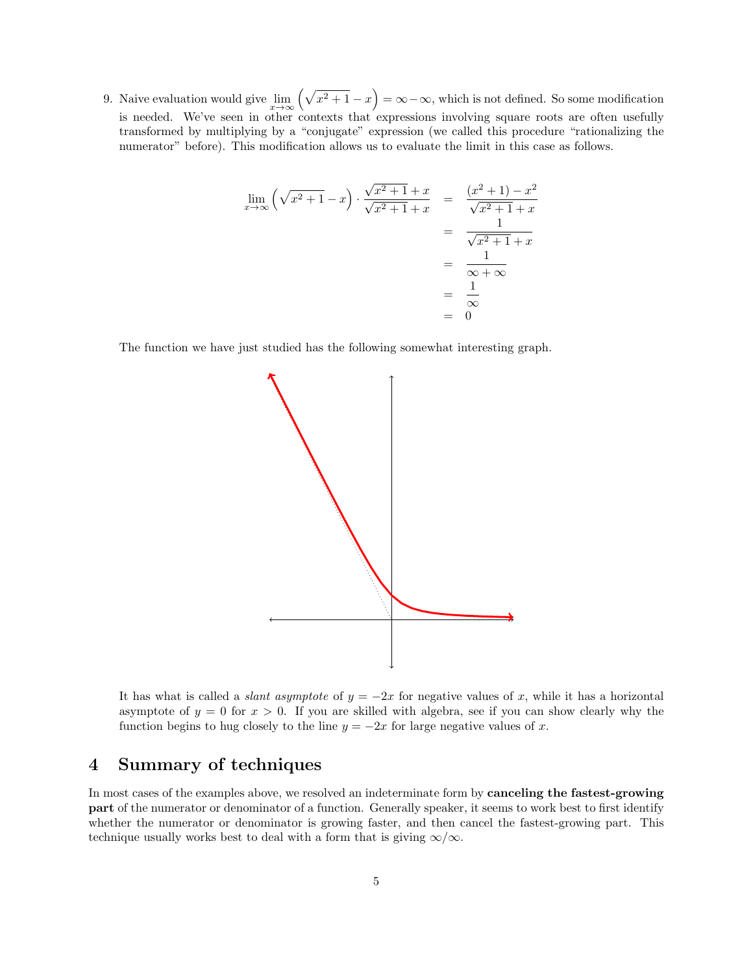9. Naive evaluation would give  $\lim_{x\to\infty} (\sqrt{x^2+1}-x) = \infty-\infty$ , which is not defined. So some modification is needed. We've seen in other contexts that expressions involving square roots are often usefully transformed by multiplying by a "conjugate" expression (we called this procedure "rationalizing the numerator" before). This modification allows us to evaluate the limit in this case as follows.

$$
\lim_{x \to \infty} \left( \sqrt{x^2 + 1} - x \right) \cdot \frac{\sqrt{x^2 + 1} + x}{\sqrt{x^2 + 1} + x} = \frac{(x^2 + 1) - x^2}{\sqrt{x^2 + 1} + x}
$$
\n
$$
= \frac{1}{\sqrt{x^2 + 1} + x}
$$
\n
$$
= \frac{1}{\infty + \infty}
$$
\n
$$
= \frac{1}{\infty}
$$
\n
$$
= 0
$$

The function we have just studied has the following somewhat interesting graph.



It has what is called a *slant asymptote* of  $y = -2x$  for negative values of x, while it has a horizontal asymptote of  $y = 0$  for  $x > 0$ . If you are skilled with algebra, see if you can show clearly why the function begins to hug closely to the line  $y = -2x$  for large negative values of x.

## 4 Summary of techniques

In most cases of the examples above, we resolved an indeterminate form by **canceling the fastest-growing** part of the numerator or denominator of a function. Generally speaker, it seems to work best to first identify whether the numerator or denominator is growing faster, and then cancel the fastest-growing part. This technique usually works best to deal with a form that is giving  $\infty/\infty$ .